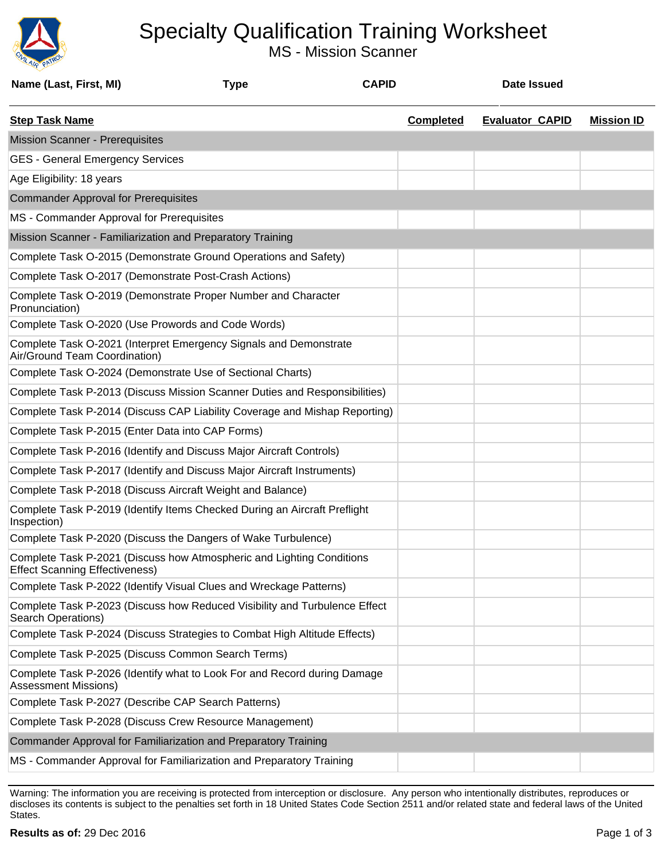

## Specialty Qualification Training Worksheet

MS - Mission Scanner

| Name (Last, First, MI)                                     | <b>Type</b>                                                                | <b>CAPID</b> |                  | <b>Date Issued</b>     |                   |
|------------------------------------------------------------|----------------------------------------------------------------------------|--------------|------------------|------------------------|-------------------|
| <b>Step Task Name</b>                                      |                                                                            |              | <b>Completed</b> | <b>Evaluator CAPID</b> | <b>Mission ID</b> |
| <b>Mission Scanner - Prerequisites</b>                     |                                                                            |              |                  |                        |                   |
| <b>GES - General Emergency Services</b>                    |                                                                            |              |                  |                        |                   |
| Age Eligibility: 18 years                                  |                                                                            |              |                  |                        |                   |
| <b>Commander Approval for Prerequisites</b>                |                                                                            |              |                  |                        |                   |
| MS - Commander Approval for Prerequisites                  |                                                                            |              |                  |                        |                   |
| Mission Scanner - Familiarization and Preparatory Training |                                                                            |              |                  |                        |                   |
|                                                            | Complete Task O-2015 (Demonstrate Ground Operations and Safety)            |              |                  |                        |                   |
| Complete Task O-2017 (Demonstrate Post-Crash Actions)      |                                                                            |              |                  |                        |                   |
| Pronunciation)                                             | Complete Task O-2019 (Demonstrate Proper Number and Character              |              |                  |                        |                   |
| Complete Task O-2020 (Use Prowords and Code Words)         |                                                                            |              |                  |                        |                   |
| Air/Ground Team Coordination)                              | Complete Task O-2021 (Interpret Emergency Signals and Demonstrate          |              |                  |                        |                   |
| Complete Task O-2024 (Demonstrate Use of Sectional Charts) |                                                                            |              |                  |                        |                   |
|                                                            | Complete Task P-2013 (Discuss Mission Scanner Duties and Responsibilities) |              |                  |                        |                   |
|                                                            | Complete Task P-2014 (Discuss CAP Liability Coverage and Mishap Reporting) |              |                  |                        |                   |
| Complete Task P-2015 (Enter Data into CAP Forms)           |                                                                            |              |                  |                        |                   |
|                                                            | Complete Task P-2016 (Identify and Discuss Major Aircraft Controls)        |              |                  |                        |                   |
|                                                            | Complete Task P-2017 (Identify and Discuss Major Aircraft Instruments)     |              |                  |                        |                   |
| Complete Task P-2018 (Discuss Aircraft Weight and Balance) |                                                                            |              |                  |                        |                   |
| Inspection)                                                | Complete Task P-2019 (Identify Items Checked During an Aircraft Preflight  |              |                  |                        |                   |
|                                                            | Complete Task P-2020 (Discuss the Dangers of Wake Turbulence)              |              |                  |                        |                   |
| <b>Effect Scanning Effectiveness)</b>                      | Complete Task P-2021 (Discuss how Atmospheric and Lighting Conditions      |              |                  |                        |                   |
|                                                            | Complete Task P-2022 (Identify Visual Clues and Wreckage Patterns)         |              |                  |                        |                   |
| Search Operations)                                         | Complete Task P-2023 (Discuss how Reduced Visibility and Turbulence Effect |              |                  |                        |                   |
|                                                            | Complete Task P-2024 (Discuss Strategies to Combat High Altitude Effects)  |              |                  |                        |                   |
| Complete Task P-2025 (Discuss Common Search Terms)         |                                                                            |              |                  |                        |                   |
| <b>Assessment Missions)</b>                                | Complete Task P-2026 (Identify what to Look For and Record during Damage   |              |                  |                        |                   |
| Complete Task P-2027 (Describe CAP Search Patterns)        |                                                                            |              |                  |                        |                   |
| Complete Task P-2028 (Discuss Crew Resource Management)    |                                                                            |              |                  |                        |                   |
|                                                            | Commander Approval for Familiarization and Preparatory Training            |              |                  |                        |                   |
|                                                            | MS - Commander Approval for Familiarization and Preparatory Training       |              |                  |                        |                   |

Warning: The information you are receiving is protected from interception or disclosure. Any person who intentionally distributes, reproduces or discloses its contents is subject to the penalties set forth in 18 United States Code Section 2511 and/or related state and federal laws of the United States.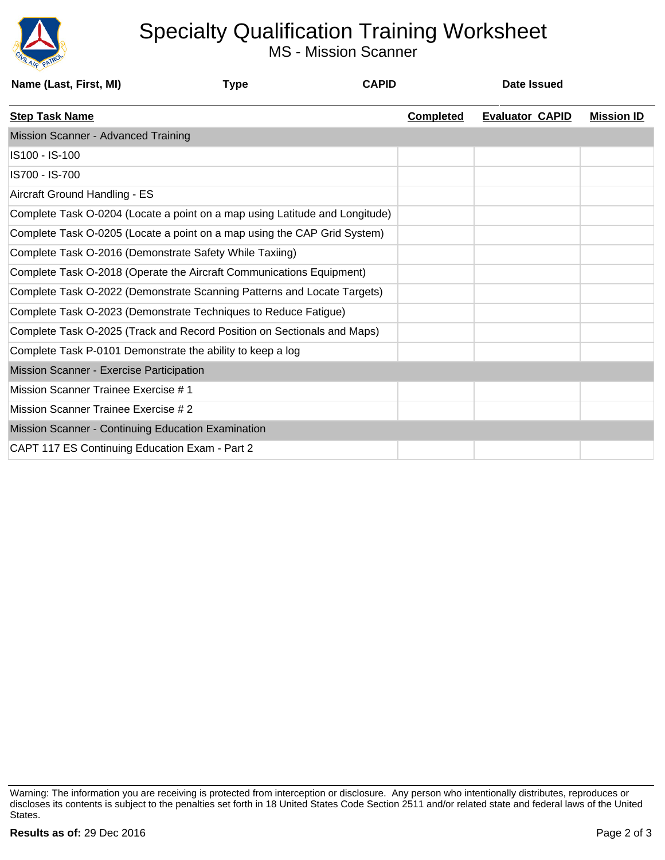

## Specialty Qualification Training Worksheet

MS - Mission Scanner

| <b>Type</b> | <b>CAPID</b>                                                                                                                                                                                                                                                              |                                                                                                                                                                                                                                                                                                                                                                                                                                                          | Date Issued            |                   |
|-------------|---------------------------------------------------------------------------------------------------------------------------------------------------------------------------------------------------------------------------------------------------------------------------|----------------------------------------------------------------------------------------------------------------------------------------------------------------------------------------------------------------------------------------------------------------------------------------------------------------------------------------------------------------------------------------------------------------------------------------------------------|------------------------|-------------------|
|             |                                                                                                                                                                                                                                                                           | <b>Completed</b>                                                                                                                                                                                                                                                                                                                                                                                                                                         | <b>Evaluator CAPID</b> | <b>Mission ID</b> |
|             |                                                                                                                                                                                                                                                                           |                                                                                                                                                                                                                                                                                                                                                                                                                                                          |                        |                   |
|             |                                                                                                                                                                                                                                                                           |                                                                                                                                                                                                                                                                                                                                                                                                                                                          |                        |                   |
|             |                                                                                                                                                                                                                                                                           |                                                                                                                                                                                                                                                                                                                                                                                                                                                          |                        |                   |
|             |                                                                                                                                                                                                                                                                           |                                                                                                                                                                                                                                                                                                                                                                                                                                                          |                        |                   |
|             |                                                                                                                                                                                                                                                                           |                                                                                                                                                                                                                                                                                                                                                                                                                                                          |                        |                   |
|             |                                                                                                                                                                                                                                                                           |                                                                                                                                                                                                                                                                                                                                                                                                                                                          |                        |                   |
|             |                                                                                                                                                                                                                                                                           |                                                                                                                                                                                                                                                                                                                                                                                                                                                          |                        |                   |
|             |                                                                                                                                                                                                                                                                           |                                                                                                                                                                                                                                                                                                                                                                                                                                                          |                        |                   |
|             |                                                                                                                                                                                                                                                                           |                                                                                                                                                                                                                                                                                                                                                                                                                                                          |                        |                   |
|             |                                                                                                                                                                                                                                                                           |                                                                                                                                                                                                                                                                                                                                                                                                                                                          |                        |                   |
|             |                                                                                                                                                                                                                                                                           |                                                                                                                                                                                                                                                                                                                                                                                                                                                          |                        |                   |
|             |                                                                                                                                                                                                                                                                           |                                                                                                                                                                                                                                                                                                                                                                                                                                                          |                        |                   |
|             |                                                                                                                                                                                                                                                                           |                                                                                                                                                                                                                                                                                                                                                                                                                                                          |                        |                   |
|             |                                                                                                                                                                                                                                                                           |                                                                                                                                                                                                                                                                                                                                                                                                                                                          |                        |                   |
|             |                                                                                                                                                                                                                                                                           |                                                                                                                                                                                                                                                                                                                                                                                                                                                          |                        |                   |
|             |                                                                                                                                                                                                                                                                           |                                                                                                                                                                                                                                                                                                                                                                                                                                                          |                        |                   |
|             |                                                                                                                                                                                                                                                                           |                                                                                                                                                                                                                                                                                                                                                                                                                                                          |                        |                   |
|             | Complete Task O-2016 (Demonstrate Safety While Taxiing)<br>Complete Task P-0101 Demonstrate the ability to keep a log<br>Mission Scanner - Exercise Participation<br>Mission Scanner - Continuing Education Examination<br>CAPT 117 ES Continuing Education Exam - Part 2 | Complete Task O-0204 (Locate a point on a map using Latitude and Longitude)<br>Complete Task O-0205 (Locate a point on a map using the CAP Grid System)<br>Complete Task O-2018 (Operate the Aircraft Communications Equipment)<br>Complete Task O-2022 (Demonstrate Scanning Patterns and Locate Targets)<br>Complete Task O-2023 (Demonstrate Techniques to Reduce Fatigue)<br>Complete Task O-2025 (Track and Record Position on Sectionals and Maps) |                        |                   |

Warning: The information you are receiving is protected from interception or disclosure. Any person who intentionally distributes, reproduces or discloses its contents is subject to the penalties set forth in 18 United States Code Section 2511 and/or related state and federal laws of the United States.